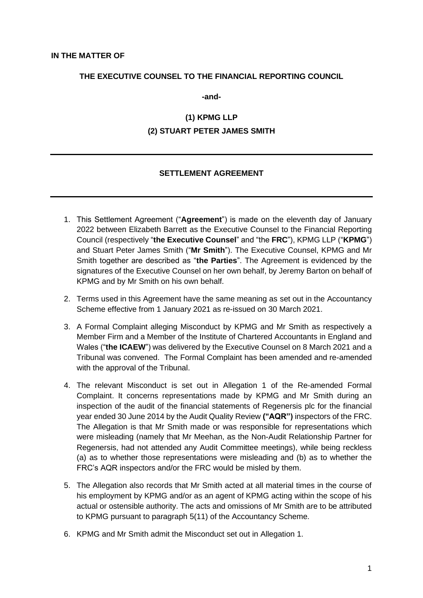#### **THE EXECUTIVE COUNSEL TO THE FINANCIAL REPORTING COUNCIL**

**-and-**

# **(1) KPMG LLP (2) STUART PETER JAMES SMITH**

## **SETTLEMENT AGREEMENT**

- 1. This Settlement Agreement ("**Agreement**") is made on the eleventh day of January 2022 between Elizabeth Barrett as the Executive Counsel to the Financial Reporting Council (respectively "**the Executive Counsel**" and "the **FRC**"), KPMG LLP ("**KPMG**") and Stuart Peter James Smith ("**Mr Smith**"). The Executive Counsel, KPMG and Mr Smith together are described as "**the Parties**". The Agreement is evidenced by the signatures of the Executive Counsel on her own behalf, by Jeremy Barton on behalf of KPMG and by Mr Smith on his own behalf.
- 2. Terms used in this Agreement have the same meaning as set out in the Accountancy Scheme effective from 1 January 2021 as re-issued on 30 March 2021.
- 3. A Formal Complaint alleging Misconduct by KPMG and Mr Smith as respectively a Member Firm and a Member of the Institute of Chartered Accountants in England and Wales ("**the ICAEW**") was delivered by the Executive Counsel on 8 March 2021 and a Tribunal was convened. The Formal Complaint has been amended and re-amended with the approval of the Tribunal.
- 4. The relevant Misconduct is set out in Allegation 1 of the Re-amended Formal Complaint. It concerns representations made by KPMG and Mr Smith during an inspection of the audit of the financial statements of Regenersis plc for the financial year ended 30 June 2014 by the Audit Quality Review **("AQR")** inspectors of the FRC. The Allegation is that Mr Smith made or was responsible for representations which were misleading (namely that Mr Meehan, as the Non-Audit Relationship Partner for Regenersis, had not attended any Audit Committee meetings), while being reckless (a) as to whether those representations were misleading and (b) as to whether the FRC's AQR inspectors and/or the FRC would be misled by them.
- 5. The Allegation also records that Mr Smith acted at all material times in the course of his employment by KPMG and/or as an agent of KPMG acting within the scope of his actual or ostensible authority. The acts and omissions of Mr Smith are to be attributed to KPMG pursuant to paragraph 5(11) of the Accountancy Scheme.
- 6. KPMG and Mr Smith admit the Misconduct set out in Allegation 1.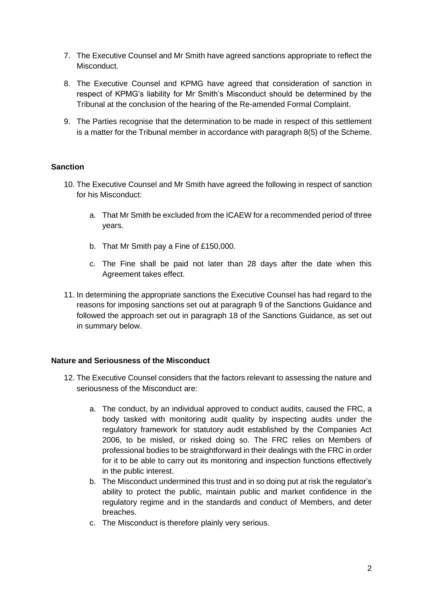- 7. The Executive Counsel and Mr Smith have agreed sanctions appropriate to reflect the Misconduct.
- 8. The Executive Counsel and KPMG have agreed that consideration of sanction in respect of KPMG's liability for Mr Smith's Misconduct should be determined by the Tribunal at the conclusion of the hearing of the Re-amended Formal Complaint.
- 9. The Parties recognise that the determination to be made in respect of this settlement is a matter for the Tribunal member in accordance with paragraph 8(5) of the Scheme.

## **Sanction**

- 10. The Executive Counsel and Mr Smith have agreed the following in respect of sanction for his Misconduct:
	- a. That Mr Smith be excluded from the ICAEW for a recommended period of three years.
	- b. That Mr Smith pay a Fine of £150,000.
	- c. The Fine shall be paid not later than 28 days after the date when this Agreement takes effect.
- 11. In determining the appropriate sanctions the Executive Counsel has had regard to the reasons for imposing sanctions set out at paragraph 9 of the Sanctions Guidance and followed the approach set out in paragraph 18 of the Sanctions Guidance, as set out in summary below.

## **Nature and Seriousness of the Misconduct**

- 12. The Executive Counsel considers that the factors relevant to assessing the nature and seriousness of the Misconduct are:
	- a. The conduct, by an individual approved to conduct audits, caused the FRC, a body tasked with monitoring audit quality by inspecting audits under the regulatory framework for statutory audit established by the Companies Act 2006, to be misled, or risked doing so. The FRC relies on Members of professional bodies to be straightforward in their dealings with the FRC in order for it to be able to carry out its monitoring and inspection functions effectively in the public interest.
	- b. The Misconduct undermined this trust and in so doing put at risk the regulator's ability to protect the public, maintain public and market confidence in the regulatory regime and in the standards and conduct of Members, and deter breaches.
	- c. The Misconduct is therefore plainly very serious.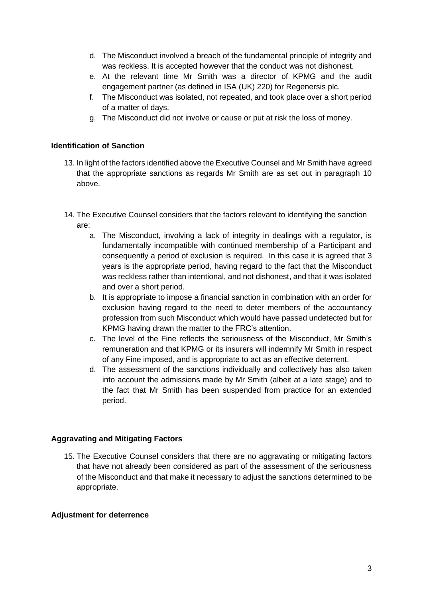- d. The Misconduct involved a breach of the fundamental principle of integrity and was reckless. It is accepted however that the conduct was not dishonest.
- e. At the relevant time Mr Smith was a director of KPMG and the audit engagement partner (as defined in ISA (UK) 220) for Regenersis plc.
- f. The Misconduct was isolated, not repeated, and took place over a short period of a matter of days.
- g. The Misconduct did not involve or cause or put at risk the loss of money.

## **Identification of Sanction**

- 13. In light of the factors identified above the Executive Counsel and Mr Smith have agreed that the appropriate sanctions as regards Mr Smith are as set out in paragraph 10 above.
- 14. The Executive Counsel considers that the factors relevant to identifying the sanction are:
	- a. The Misconduct, involving a lack of integrity in dealings with a regulator, is fundamentally incompatible with continued membership of a Participant and consequently a period of exclusion is required. In this case it is agreed that 3 years is the appropriate period, having regard to the fact that the Misconduct was reckless rather than intentional, and not dishonest, and that it was isolated and over a short period.
	- b. It is appropriate to impose a financial sanction in combination with an order for exclusion having regard to the need to deter members of the accountancy profession from such Misconduct which would have passed undetected but for KPMG having drawn the matter to the FRC's attention.
	- c. The level of the Fine reflects the seriousness of the Misconduct, Mr Smith's remuneration and that KPMG or its insurers will indemnify Mr Smith in respect of any Fine imposed, and is appropriate to act as an effective deterrent.
	- d. The assessment of the sanctions individually and collectively has also taken into account the admissions made by Mr Smith (albeit at a late stage) and to the fact that Mr Smith has been suspended from practice for an extended period.

## **Aggravating and Mitigating Factors**

15. The Executive Counsel considers that there are no aggravating or mitigating factors that have not already been considered as part of the assessment of the seriousness of the Misconduct and that make it necessary to adjust the sanctions determined to be appropriate.

## **Adjustment for deterrence**